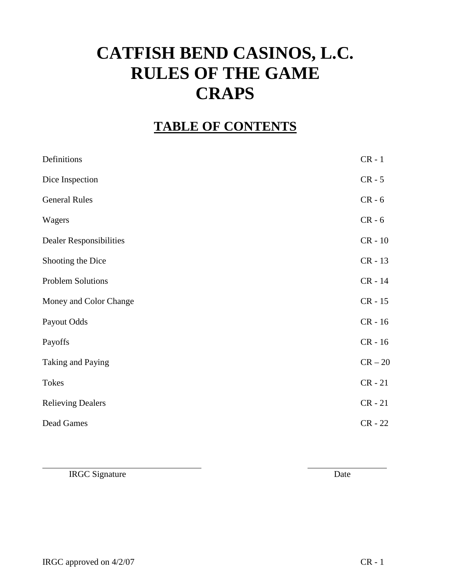# **CATFISH BEND CASINOS, L.C. RULES OF THE GAME CRAPS**

## **TABLE OF CONTENTS**

| Definitions              | $CR - 1$  |
|--------------------------|-----------|
| Dice Inspection          | $CR - 5$  |
| <b>General Rules</b>     | $CR - 6$  |
| Wagers                   | $CR - 6$  |
| Dealer Responsibilities  | $CR - 10$ |
| Shooting the Dice        | $CR - 13$ |
| <b>Problem Solutions</b> | CR - 14   |
| Money and Color Change   | $CR - 15$ |
| Payout Odds              | $CR - 16$ |
| Payoffs                  | $CR - 16$ |
| Taking and Paying        | $CR - 20$ |
| Tokes                    | $CR - 21$ |
| <b>Relieving Dealers</b> | $CR - 21$ |
| Dead Games               | $CR - 22$ |

IRGC Signature Date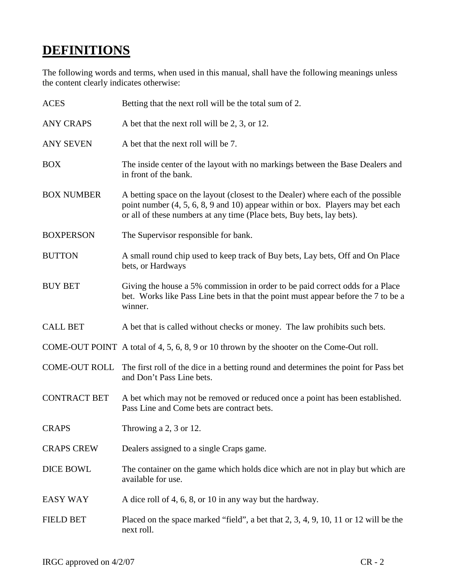## **DEFINITIONS**

The following words and terms, when used in this manual, shall have the following meanings unless the content clearly indicates otherwise:

| <b>ACES</b>          | Betting that the next roll will be the total sum of 2.                                                                                                                                                                                     |
|----------------------|--------------------------------------------------------------------------------------------------------------------------------------------------------------------------------------------------------------------------------------------|
| <b>ANY CRAPS</b>     | A bet that the next roll will be 2, 3, or 12.                                                                                                                                                                                              |
| <b>ANY SEVEN</b>     | A bet that the next roll will be 7.                                                                                                                                                                                                        |
| <b>BOX</b>           | The inside center of the layout with no markings between the Base Dealers and<br>in front of the bank.                                                                                                                                     |
| <b>BOX NUMBER</b>    | A betting space on the layout (closest to the Dealer) where each of the possible<br>point number $(4, 5, 6, 8, 9, 10)$ appear within or box. Players may bet each<br>or all of these numbers at any time (Place bets, Buy bets, lay bets). |
| <b>BOXPERSON</b>     | The Supervisor responsible for bank.                                                                                                                                                                                                       |
| <b>BUTTON</b>        | A small round chip used to keep track of Buy bets, Lay bets, Off and On Place<br>bets, or Hardways                                                                                                                                         |
| <b>BUY BET</b>       | Giving the house a 5% commission in order to be paid correct odds for a Place<br>bet. Works like Pass Line bets in that the point must appear before the 7 to be a<br>winner.                                                              |
| <b>CALL BET</b>      | A bet that is called without checks or money. The law prohibits such bets.                                                                                                                                                                 |
|                      | COME-OUT POINT A total of 4, 5, 6, 8, 9 or 10 thrown by the shooter on the Come-Out roll.                                                                                                                                                  |
| <b>COME-OUT ROLL</b> | The first roll of the dice in a betting round and determines the point for Pass bet<br>and Don't Pass Line bets.                                                                                                                           |
| <b>CONTRACT BET</b>  | A bet which may not be removed or reduced once a point has been established.<br>Pass Line and Come bets are contract bets.                                                                                                                 |
| <b>CRAPS</b>         | Throwing a 2, 3 or 12.                                                                                                                                                                                                                     |
| <b>CRAPS CREW</b>    | Dealers assigned to a single Craps game.                                                                                                                                                                                                   |
| <b>DICE BOWL</b>     | The container on the game which holds dice which are not in play but which are<br>available for use.                                                                                                                                       |
| <b>EASY WAY</b>      | A dice roll of 4, 6, 8, or 10 in any way but the hardway.                                                                                                                                                                                  |
| <b>FIELD BET</b>     | Placed on the space marked "field", a bet that 2, 3, 4, 9, 10, 11 or 12 will be the<br>next roll.                                                                                                                                          |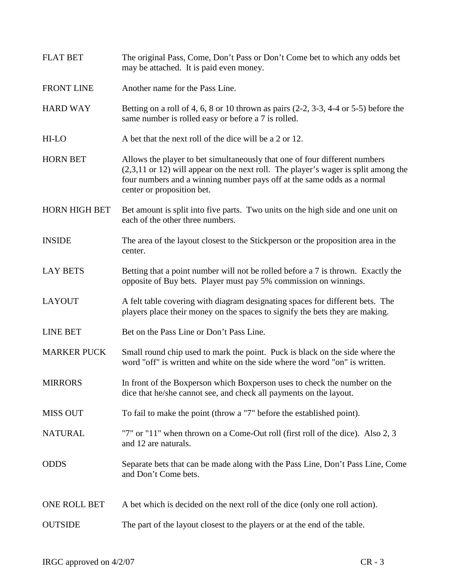| <b>FLAT BET</b>      | The original Pass, Come, Don't Pass or Don't Come bet to which any odds bet<br>may be attached. It is paid even money.                                                                                                                                                       |  |
|----------------------|------------------------------------------------------------------------------------------------------------------------------------------------------------------------------------------------------------------------------------------------------------------------------|--|
| <b>FRONT LINE</b>    | Another name for the Pass Line.                                                                                                                                                                                                                                              |  |
| <b>HARD WAY</b>      | Betting on a roll of 4, 6, 8 or 10 thrown as pairs $(2-2, 3-3, 4-4)$ or 5-5) before the<br>same number is rolled easy or before a 7 is rolled.                                                                                                                               |  |
| HI-LO                | A bet that the next roll of the dice will be a 2 or 12.                                                                                                                                                                                                                      |  |
| <b>HORN BET</b>      | Allows the player to bet simultaneously that one of four different numbers<br>$(2,3,11)$ or 12) will appear on the next roll. The player's wager is split among the<br>four numbers and a winning number pays off at the same odds as a normal<br>center or proposition bet. |  |
| <b>HORN HIGH BET</b> | Bet amount is split into five parts. Two units on the high side and one unit on<br>each of the other three numbers.                                                                                                                                                          |  |
| <b>INSIDE</b>        | The area of the layout closest to the Stickperson or the proposition area in the<br>center.                                                                                                                                                                                  |  |
| <b>LAY BETS</b>      | Betting that a point number will not be rolled before a 7 is thrown. Exactly the<br>opposite of Buy bets. Player must pay 5% commission on winnings.                                                                                                                         |  |
| <b>LAYOUT</b>        | A felt table covering with diagram designating spaces for different bets. The<br>players place their money on the spaces to signify the bets they are making.                                                                                                                |  |
| <b>LINE BET</b>      | Bet on the Pass Line or Don't Pass Line.                                                                                                                                                                                                                                     |  |
| <b>MARKER PUCK</b>   | Small round chip used to mark the point. Puck is black on the side where the<br>word "off" is written and white on the side where the word "on" is written.                                                                                                                  |  |
| <b>MIRRORS</b>       | In front of the Boxperson which Boxperson uses to check the number on the<br>dice that he/she cannot see, and check all payments on the layout.                                                                                                                              |  |
| <b>MISS OUT</b>      | To fail to make the point (throw a "7" before the established point).                                                                                                                                                                                                        |  |
| <b>NATURAL</b>       | "7" or "11" when thrown on a Come-Out roll (first roll of the dice). Also 2, 3<br>and 12 are naturals.                                                                                                                                                                       |  |
| <b>ODDS</b>          | Separate bets that can be made along with the Pass Line, Don't Pass Line, Come<br>and Don't Come bets.                                                                                                                                                                       |  |
| ONE ROLL BET         | A bet which is decided on the next roll of the dice (only one roll action).                                                                                                                                                                                                  |  |
| <b>OUTSIDE</b>       | The part of the layout closest to the players or at the end of the table.                                                                                                                                                                                                    |  |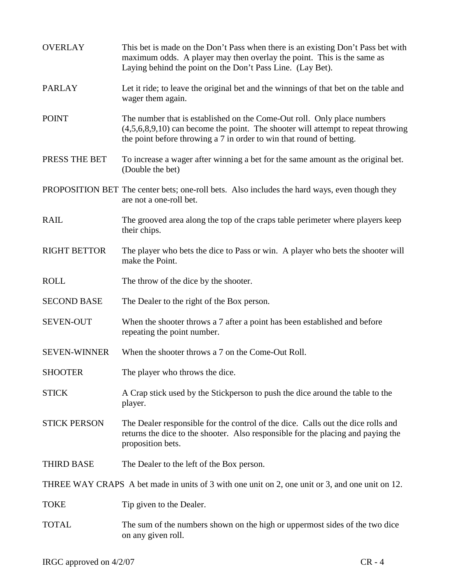| <b>OVERLAY</b>      | This bet is made on the Don't Pass when there is an existing Don't Pass bet with<br>maximum odds. A player may then overlay the point. This is the same as<br>Laying behind the point on the Don't Pass Line. (Lay Bet).              |  |
|---------------------|---------------------------------------------------------------------------------------------------------------------------------------------------------------------------------------------------------------------------------------|--|
| <b>PARLAY</b>       | Let it ride; to leave the original bet and the winnings of that bet on the table and<br>wager them again.                                                                                                                             |  |
| <b>POINT</b>        | The number that is established on the Come-Out roll. Only place numbers<br>$(4,5,6,8,9,10)$ can become the point. The shooter will attempt to repeat throwing<br>the point before throwing a 7 in order to win that round of betting. |  |
| PRESS THE BET       | To increase a wager after winning a bet for the same amount as the original bet.<br>(Double the bet)                                                                                                                                  |  |
|                     | PROPOSITION BET The center bets; one-roll bets. Also includes the hard ways, even though they<br>are not a one-roll bet.                                                                                                              |  |
| <b>RAIL</b>         | The grooved area along the top of the craps table perimeter where players keep<br>their chips.                                                                                                                                        |  |
| <b>RIGHT BETTOR</b> | The player who bets the dice to Pass or win. A player who bets the shooter will<br>make the Point.                                                                                                                                    |  |
| <b>ROLL</b>         | The throw of the dice by the shooter.                                                                                                                                                                                                 |  |
| <b>SECOND BASE</b>  | The Dealer to the right of the Box person.                                                                                                                                                                                            |  |
| <b>SEVEN-OUT</b>    | When the shooter throws a 7 after a point has been established and before<br>repeating the point number.                                                                                                                              |  |
| <b>SEVEN-WINNER</b> | When the shooter throws a 7 on the Come-Out Roll.                                                                                                                                                                                     |  |
| <b>SHOOTER</b>      | The player who throws the dice.                                                                                                                                                                                                       |  |
| <b>STICK</b>        | A Crap stick used by the Stickperson to push the dice around the table to the<br>player.                                                                                                                                              |  |
| <b>STICK PERSON</b> | The Dealer responsible for the control of the dice. Calls out the dice rolls and<br>returns the dice to the shooter. Also responsible for the placing and paying the<br>proposition bets.                                             |  |
| <b>THIRD BASE</b>   | The Dealer to the left of the Box person.                                                                                                                                                                                             |  |
|                     | THREE WAY CRAPS A bet made in units of 3 with one unit on 2, one unit or 3, and one unit on 12.                                                                                                                                       |  |
| <b>TOKE</b>         | Tip given to the Dealer.                                                                                                                                                                                                              |  |
| <b>TOTAL</b>        | The sum of the numbers shown on the high or uppermost sides of the two dice<br>on any given roll.                                                                                                                                     |  |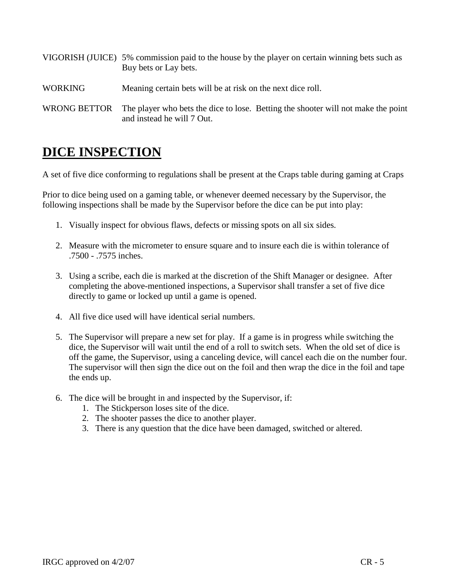|                | VIGORISH (JUICE) 5% commission paid to the house by the player on certain winning bets such as<br>Buy bets or Lay bets. |
|----------------|-------------------------------------------------------------------------------------------------------------------------|
| <b>WORKING</b> | Meaning certain bets will be at risk on the next dice roll.                                                             |
| WRONG BETTOR   | The player who bets the dice to lose. Betting the shooter will not make the point<br>and instead he will 7 Out.         |

## **DICE INSPECTION**

A set of five dice conforming to regulations shall be present at the Craps table during gaming at Craps

Prior to dice being used on a gaming table, or whenever deemed necessary by the Supervisor, the following inspections shall be made by the Supervisor before the dice can be put into play:

- 1. Visually inspect for obvious flaws, defects or missing spots on all six sides.
- 2. Measure with the micrometer to ensure square and to insure each die is within tolerance of .7500 - .7575 inches.
- 3. Using a scribe, each die is marked at the discretion of the Shift Manager or designee. After completing the above-mentioned inspections, a Supervisor shall transfer a set of five dice directly to game or locked up until a game is opened.
- 4. All five dice used will have identical serial numbers.
- 5. The Supervisor will prepare a new set for play. If a game is in progress while switching the dice, the Supervisor will wait until the end of a roll to switch sets. When the old set of dice is off the game, the Supervisor, using a canceling device, will cancel each die on the number four. The supervisor will then sign the dice out on the foil and then wrap the dice in the foil and tape the ends up.
- 6. The dice will be brought in and inspected by the Supervisor, if:
	- 1. The Stickperson loses site of the dice.
	- 2. The shooter passes the dice to another player.
	- 3. There is any question that the dice have been damaged, switched or altered.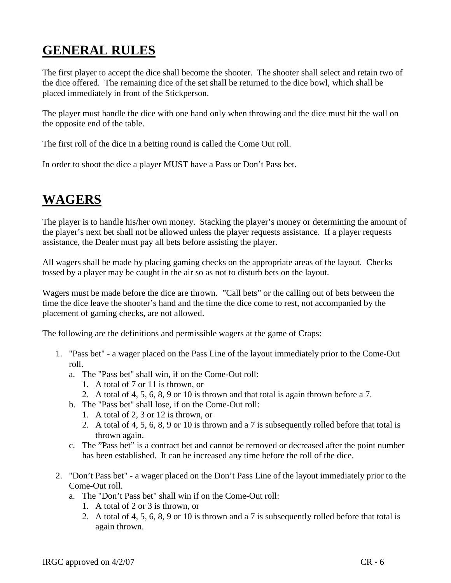## **GENERAL RULES**

The first player to accept the dice shall become the shooter. The shooter shall select and retain two of the dice offered. The remaining dice of the set shall be returned to the dice bowl, which shall be placed immediately in front of the Stickperson.

The player must handle the dice with one hand only when throwing and the dice must hit the wall on the opposite end of the table.

The first roll of the dice in a betting round is called the Come Out roll.

In order to shoot the dice a player MUST have a Pass or Don't Pass bet.

## **WAGERS**

The player is to handle his/her own money. Stacking the player's money or determining the amount of the player's next bet shall not be allowed unless the player requests assistance. If a player requests assistance, the Dealer must pay all bets before assisting the player.

All wagers shall be made by placing gaming checks on the appropriate areas of the layout. Checks tossed by a player may be caught in the air so as not to disturb bets on the layout.

Wagers must be made before the dice are thrown. "Call bets" or the calling out of bets between the time the dice leave the shooter's hand and the time the dice come to rest, not accompanied by the placement of gaming checks, are not allowed.

The following are the definitions and permissible wagers at the game of Craps:

- 1. "Pass bet" a wager placed on the Pass Line of the layout immediately prior to the Come-Out roll.
	- a. The "Pass bet" shall win, if on the Come-Out roll:
		- 1. A total of 7 or 11 is thrown, or
		- 2. A total of 4, 5, 6, 8, 9 or 10 is thrown and that total is again thrown before a 7.
	- b. The "Pass bet" shall lose, if on the Come-Out roll:
		- 1. A total of 2, 3 or 12 is thrown, or
		- 2. A total of 4, 5, 6, 8, 9 or 10 is thrown and a 7 is subsequently rolled before that total is thrown again.
	- c. The "Pass bet" is a contract bet and cannot be removed or decreased after the point number has been established. It can be increased any time before the roll of the dice.
- 2. "Don't Pass bet" a wager placed on the Don't Pass Line of the layout immediately prior to the Come-Out roll.
	- a. The "Don't Pass bet" shall win if on the Come-Out roll:
		- 1. A total of 2 or 3 is thrown, or
		- 2. A total of 4, 5, 6, 8, 9 or 10 is thrown and a 7 is subsequently rolled before that total is again thrown.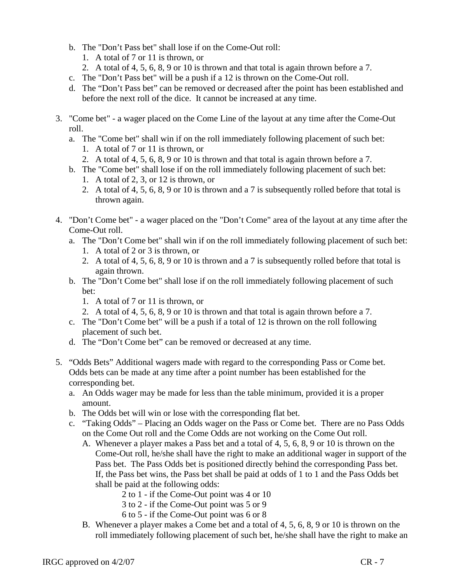- b. The "Don't Pass bet" shall lose if on the Come-Out roll:
	- 1. A total of 7 or 11 is thrown, or
	- 2. A total of 4, 5, 6, 8, 9 or 10 is thrown and that total is again thrown before a 7.
- c. The "Don't Pass bet" will be a push if a 12 is thrown on the Come-Out roll.
- d. The "Don't Pass bet" can be removed or decreased after the point has been established and before the next roll of the dice. It cannot be increased at any time.
- 3. "Come bet" a wager placed on the Come Line of the layout at any time after the Come-Out roll.
	- a. The "Come bet" shall win if on the roll immediately following placement of such bet:
		- 1. A total of 7 or 11 is thrown, or
		- 2. A total of 4, 5, 6, 8, 9 or 10 is thrown and that total is again thrown before a 7.
	- b. The "Come bet" shall lose if on the roll immediately following placement of such bet: 1. A total of 2, 3, or 12 is thrown, or
		- 2. A total of 4, 5, 6, 8, 9 or 10 is thrown and a 7 is subsequently rolled before that total is thrown again.
- 4. "Don't Come bet" a wager placed on the "Don't Come" area of the layout at any time after the Come-Out roll.
	- a. The "Don't Come bet" shall win if on the roll immediately following placement of such bet: 1. A total of 2 or 3 is thrown, or
		- 2. A total of 4, 5, 6, 8, 9 or 10 is thrown and a 7 is subsequently rolled before that total is again thrown.
	- b. The "Don't Come bet" shall lose if on the roll immediately following placement of such bet:
		- 1. A total of 7 or 11 is thrown, or
		- 2. A total of 4, 5, 6, 8, 9 or 10 is thrown and that total is again thrown before a 7.
	- c. The "Don't Come bet" will be a push if a total of 12 is thrown on the roll following placement of such bet.
	- d. The "Don't Come bet" can be removed or decreased at any time.
- 5. "Odds Bets" Additional wagers made with regard to the corresponding Pass or Come bet. Odds bets can be made at any time after a point number has been established for the corresponding bet.
	- a. An Odds wager may be made for less than the table minimum, provided it is a proper amount.
	- b. The Odds bet will win or lose with the corresponding flat bet.
	- c. "Taking Odds" Placing an Odds wager on the Pass or Come bet. There are no Pass Odds on the Come Out roll and the Come Odds are not working on the Come Out roll.
		- A. Whenever a player makes a Pass bet and a total of 4, 5, 6, 8, 9 or 10 is thrown on the Come-Out roll, he/she shall have the right to make an additional wager in support of the Pass bet. The Pass Odds bet is positioned directly behind the corresponding Pass bet. If, the Pass bet wins, the Pass bet shall be paid at odds of 1 to 1 and the Pass Odds bet shall be paid at the following odds:
			- 2 to 1 if the Come-Out point was 4 or 10
			- 3 to 2 if the Come-Out point was 5 or 9
			- 6 to 5 if the Come-Out point was 6 or 8
		- B. Whenever a player makes a Come bet and a total of 4, 5, 6, 8, 9 or 10 is thrown on the roll immediately following placement of such bet, he/she shall have the right to make an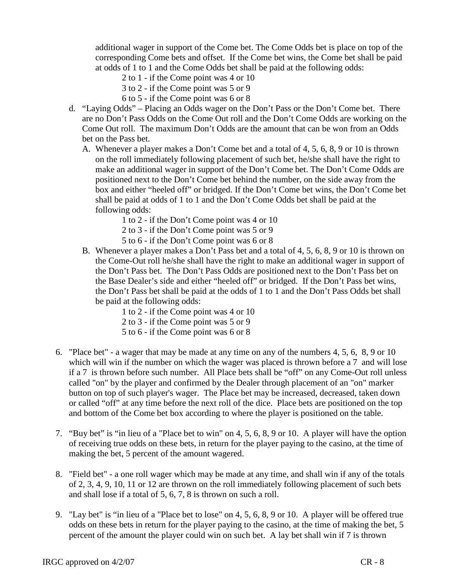additional wager in support of the Come bet. The Come Odds bet is place on top of the corresponding Come bets and offset. If the Come bet wins, the Come bet shall be paid at odds of 1 to 1 and the Come Odds bet shall be paid at the following odds:

- 2 to 1 if the Come point was 4 or 10
- 3 to 2 if the Come point was 5 or 9
- 6 to 5 if the Come point was 6 or 8
- d. "Laying Odds" Placing an Odds wager on the Don't Pass or the Don't Come bet. There are no Don't Pass Odds on the Come Out roll and the Don't Come Odds are working on the Come Out roll. The maximum Don't Odds are the amount that can be won from an Odds bet on the Pass bet.
	- A. Whenever a player makes a Don't Come bet and a total of 4, 5, 6, 8, 9 or 10 is thrown on the roll immediately following placement of such bet, he/she shall have the right to make an additional wager in support of the Don't Come bet. The Don't Come Odds are positioned next to the Don't Come bet behind the number, on the side away from the box and either "heeled off" or bridged. If the Don't Come bet wins, the Don't Come bet shall be paid at odds of 1 to 1 and the Don't Come Odds bet shall be paid at the following odds:
		- 1 to 2 if the Don't Come point was 4 or 10
		- 2 to 3 if the Don't Come point was 5 or 9
		- 5 to 6 if the Don't Come point was 6 or 8
	- B. Whenever a player makes a Don't Pass bet and a total of 4, 5, 6, 8, 9 or 10 is thrown on the Come-Out roll he/she shall have the right to make an additional wager in support of the Don't Pass bet. The Don't Pass Odds are positioned next to the Don't Pass bet on the Base Dealer's side and either "heeled off" or bridged. If the Don't Pass bet wins, the Don't Pass bet shall be paid at the odds of 1 to 1 and the Don't Pass Odds bet shall be paid at the following odds:
		- 1 to 2 if the Come point was 4 or 10 2 to 3 - if the Come point was 5 or 9
		- 5 to 6 if the Come point was 6 or 8
- 6. "Place bet" a wager that may be made at any time on any of the numbers 4, 5, 6, 8, 9 or 10 which will win if the number on which the wager was placed is thrown before a 7 and will lose if a 7 is thrown before such number. All Place bets shall be "off" on any Come-Out roll unless called "on" by the player and confirmed by the Dealer through placement of an "on" marker button on top of such player's wager. The Place bet may be increased, decreased, taken down or called "off" at any time before the next roll of the dice. Place bets are positioned on the top and bottom of the Come bet box according to where the player is positioned on the table.
- 7. "Buy bet" is "in lieu of a "Place bet to win" on 4, 5, 6, 8, 9 or 10. A player will have the option of receiving true odds on these bets, in return for the player paying to the casino, at the time of making the bet, 5 percent of the amount wagered.
- 8. "Field bet" a one roll wager which may be made at any time, and shall win if any of the totals of 2, 3, 4, 9, 10, 11 or 12 are thrown on the roll immediately following placement of such bets and shall lose if a total of 5, 6, 7, 8 is thrown on such a roll.
- 9. "Lay bet" is "in lieu of a "Place bet to lose" on 4, 5, 6, 8, 9 or 10. A player will be offered true odds on these bets in return for the player paying to the casino, at the time of making the bet, 5 percent of the amount the player could win on such bet. A lay bet shall win if 7 is thrown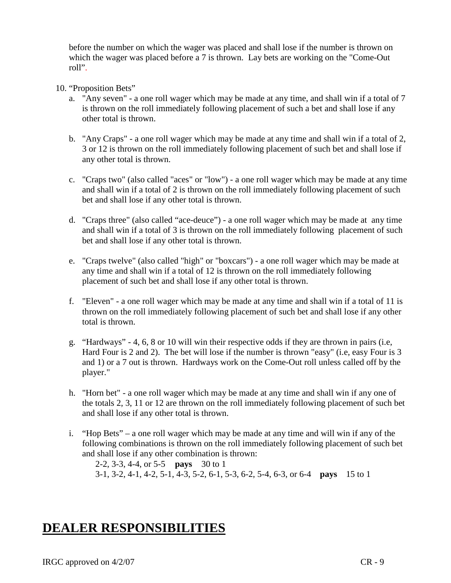before the number on which the wager was placed and shall lose if the number is thrown on which the wager was placed before a 7 is thrown. Lay bets are working on the "Come-Out roll".

- 10. "Proposition Bets"
	- a. "Any seven" a one roll wager which may be made at any time, and shall win if a total of 7 is thrown on the roll immediately following placement of such a bet and shall lose if any other total is thrown.
	- b. "Any Craps" a one roll wager which may be made at any time and shall win if a total of 2, 3 or 12 is thrown on the roll immediately following placement of such bet and shall lose if any other total is thrown.
	- c. "Craps two" (also called "aces" or "low") a one roll wager which may be made at any time and shall win if a total of 2 is thrown on the roll immediately following placement of such bet and shall lose if any other total is thrown.
	- d. "Craps three" (also called "ace-deuce") a one roll wager which may be made at any time and shall win if a total of 3 is thrown on the roll immediately following placement of such bet and shall lose if any other total is thrown.
	- e. "Craps twelve" (also called "high" or "boxcars") a one roll wager which may be made at any time and shall win if a total of 12 is thrown on the roll immediately following placement of such bet and shall lose if any other total is thrown.
	- f. "Eleven" a one roll wager which may be made at any time and shall win if a total of 11 is thrown on the roll immediately following placement of such bet and shall lose if any other total is thrown.
	- g. "Hardways" 4, 6, 8 or 10 will win their respective odds if they are thrown in pairs (i.e, Hard Four is 2 and 2). The bet will lose if the number is thrown "easy" (i.e, easy Four is 3 and 1) or a 7 out is thrown. Hardways work on the Come-Out roll unless called off by the player."
	- h. "Horn bet" a one roll wager which may be made at any time and shall win if any one of the totals 2, 3, 11 or 12 are thrown on the roll immediately following placement of such bet and shall lose if any other total is thrown.
	- i. "Hop Bets" a one roll wager which may be made at any time and will win if any of the following combinations is thrown on the roll immediately following placement of such bet and shall lose if any other combination is thrown:

2-2, 3-3, 4-4, or 5-5 **pays** 30 to 1 3-1, 3-2, 4-1, 4-2, 5-1, 4-3, 5-2, 6-1, 5-3, 6-2, 5-4, 6-3, or 6-4 **pays** 15 to 1

## **DEALER RESPONSIBILITIES**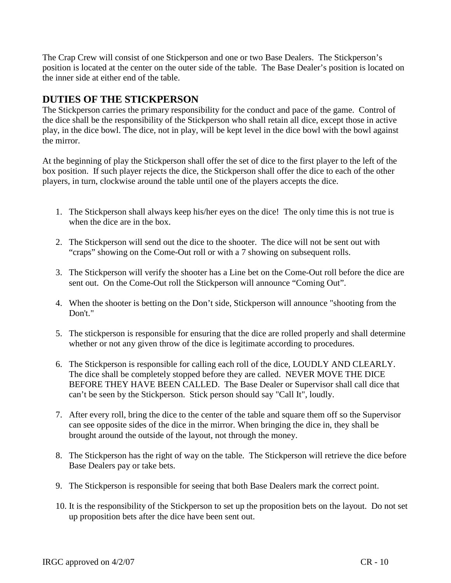The Crap Crew will consist of one Stickperson and one or two Base Dealers. The Stickperson's position is located at the center on the outer side of the table. The Base Dealer's position is located on the inner side at either end of the table.

#### **DUTIES OF THE STICKPERSON**

The Stickperson carries the primary responsibility for the conduct and pace of the game. Control of the dice shall be the responsibility of the Stickperson who shall retain all dice, except those in active play, in the dice bowl. The dice, not in play, will be kept level in the dice bowl with the bowl against the mirror.

At the beginning of play the Stickperson shall offer the set of dice to the first player to the left of the box position. If such player rejects the dice, the Stickperson shall offer the dice to each of the other players, in turn, clockwise around the table until one of the players accepts the dice.

- 1. The Stickperson shall always keep his/her eyes on the dice! The only time this is not true is when the dice are in the box.
- 2. The Stickperson will send out the dice to the shooter. The dice will not be sent out with "craps" showing on the Come-Out roll or with a 7 showing on subsequent rolls.
- 3. The Stickperson will verify the shooter has a Line bet on the Come-Out roll before the dice are sent out. On the Come-Out roll the Stickperson will announce "Coming Out".
- 4. When the shooter is betting on the Don't side, Stickperson will announce "shooting from the Don't."
- 5. The stickperson is responsible for ensuring that the dice are rolled properly and shall determine whether or not any given throw of the dice is legitimate according to procedures.
- 6. The Stickperson is responsible for calling each roll of the dice, LOUDLY AND CLEARLY. The dice shall be completely stopped before they are called. NEVER MOVE THE DICE BEFORE THEY HAVE BEEN CALLED. The Base Dealer or Supervisor shall call dice that can't be seen by the Stickperson. Stick person should say "Call It", loudly.
- 7. After every roll, bring the dice to the center of the table and square them off so the Supervisor can see opposite sides of the dice in the mirror. When bringing the dice in, they shall be brought around the outside of the layout, not through the money.
- 8. The Stickperson has the right of way on the table. The Stickperson will retrieve the dice before Base Dealers pay or take bets.
- 9. The Stickperson is responsible for seeing that both Base Dealers mark the correct point.
- 10. It is the responsibility of the Stickperson to set up the proposition bets on the layout. Do not set up proposition bets after the dice have been sent out.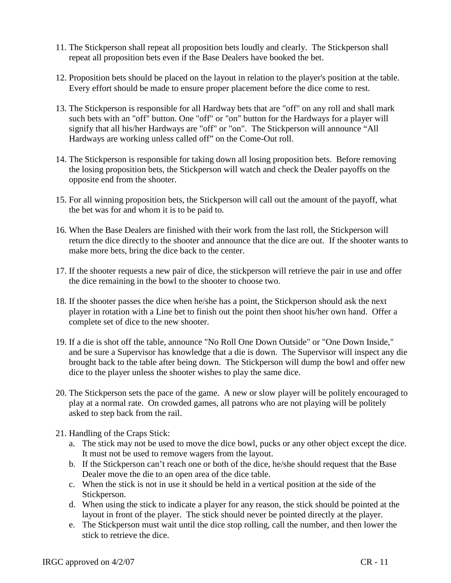- 11. The Stickperson shall repeat all proposition bets loudly and clearly. The Stickperson shall repeat all proposition bets even if the Base Dealers have booked the bet.
- 12. Proposition bets should be placed on the layout in relation to the player's position at the table. Every effort should be made to ensure proper placement before the dice come to rest.
- 13. The Stickperson is responsible for all Hardway bets that are "off" on any roll and shall mark such bets with an "off" button. One "off" or "on" button for the Hardways for a player will signify that all his/her Hardways are "off" or "on". The Stickperson will announce "All Hardways are working unless called off" on the Come-Out roll.
- 14. The Stickperson is responsible for taking down all losing proposition bets. Before removing the losing proposition bets, the Stickperson will watch and check the Dealer payoffs on the opposite end from the shooter.
- 15. For all winning proposition bets, the Stickperson will call out the amount of the payoff, what the bet was for and whom it is to be paid to.
- 16. When the Base Dealers are finished with their work from the last roll, the Stickperson will return the dice directly to the shooter and announce that the dice are out. If the shooter wants to make more bets, bring the dice back to the center.
- 17. If the shooter requests a new pair of dice, the stickperson will retrieve the pair in use and offer the dice remaining in the bowl to the shooter to choose two.
- 18. If the shooter passes the dice when he/she has a point, the Stickperson should ask the next player in rotation with a Line bet to finish out the point then shoot his/her own hand. Offer a complete set of dice to the new shooter.
- 19. If a die is shot off the table, announce "No Roll One Down Outside" or "One Down Inside," and be sure a Supervisor has knowledge that a die is down. The Supervisor will inspect any die brought back to the table after being down. The Stickperson will dump the bowl and offer new dice to the player unless the shooter wishes to play the same dice.
- 20. The Stickperson sets the pace of the game. A new or slow player will be politely encouraged to play at a normal rate. On crowded games, all patrons who are not playing will be politely asked to step back from the rail.
- 21. Handling of the Craps Stick:
	- a. The stick may not be used to move the dice bowl, pucks or any other object except the dice. It must not be used to remove wagers from the layout.
	- b. If the Stickperson can't reach one or both of the dice, he/she should request that the Base Dealer move the die to an open area of the dice table.
	- c. When the stick is not in use it should be held in a vertical position at the side of the Stickperson.
	- d. When using the stick to indicate a player for any reason, the stick should be pointed at the layout in front of the player. The stick should never be pointed directly at the player.
	- e. The Stickperson must wait until the dice stop rolling, call the number, and then lower the stick to retrieve the dice.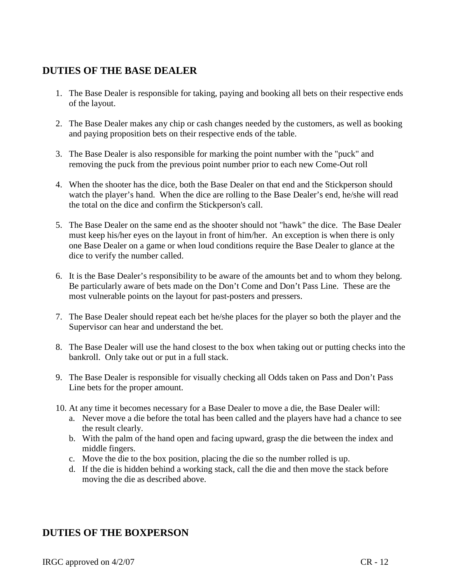### **DUTIES OF THE BASE DEALER**

- 1. The Base Dealer is responsible for taking, paying and booking all bets on their respective ends of the layout.
- 2. The Base Dealer makes any chip or cash changes needed by the customers, as well as booking and paying proposition bets on their respective ends of the table.
- 3. The Base Dealer is also responsible for marking the point number with the "puck" and removing the puck from the previous point number prior to each new Come-Out roll
- 4. When the shooter has the dice, both the Base Dealer on that end and the Stickperson should watch the player's hand. When the dice are rolling to the Base Dealer's end, he/she will read the total on the dice and confirm the Stickperson's call.
- 5. The Base Dealer on the same end as the shooter should not "hawk" the dice. The Base Dealer must keep his/her eyes on the layout in front of him/her. An exception is when there is only one Base Dealer on a game or when loud conditions require the Base Dealer to glance at the dice to verify the number called.
- 6. It is the Base Dealer's responsibility to be aware of the amounts bet and to whom they belong. Be particularly aware of bets made on the Don't Come and Don't Pass Line. These are the most vulnerable points on the layout for past-posters and pressers.
- 7. The Base Dealer should repeat each bet he/she places for the player so both the player and the Supervisor can hear and understand the bet.
- 8. The Base Dealer will use the hand closest to the box when taking out or putting checks into the bankroll. Only take out or put in a full stack.
- 9. The Base Dealer is responsible for visually checking all Odds taken on Pass and Don't Pass Line bets for the proper amount.
- 10. At any time it becomes necessary for a Base Dealer to move a die, the Base Dealer will:
	- a. Never move a die before the total has been called and the players have had a chance to see the result clearly.
	- b. With the palm of the hand open and facing upward, grasp the die between the index and middle fingers.
	- c. Move the die to the box position, placing the die so the number rolled is up.
	- d. If the die is hidden behind a working stack, call the die and then move the stack before moving the die as described above.

#### **DUTIES OF THE BOXPERSON**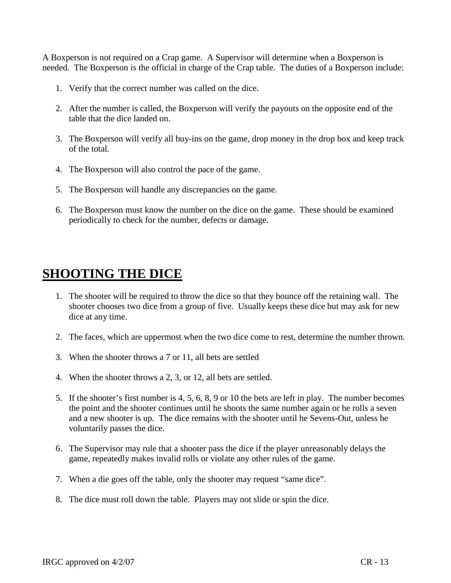A Boxperson is not required on a Crap game. A Supervisor will determine when a Boxperson is needed. The Boxperson is the official in charge of the Crap table. The duties of a Boxperson include:

- 1. Verify that the correct number was called on the dice.
- 2. After the number is called, the Boxperson will verify the payouts on the opposite end of the table that the dice landed on.
- 3. The Boxperson will verify all buy-ins on the game, drop money in the drop box and keep track of the total.
- 4. The Boxperson will also control the pace of the game.
- 5. The Boxperson will handle any discrepancies on the game.
- 6. The Boxperson must know the number on the dice on the game. These should be examined periodically to check for the number, defects or damage.

## **SHOOTING THE DICE**

- 1. The shooter will be required to throw the dice so that they bounce off the retaining wall. The shooter chooses two dice from a group of five. Usually keeps these dice but may ask for new dice at any time.
- 2. The faces, which are uppermost when the two dice come to rest, determine the number thrown.
- 3. When the shooter throws a 7 or 11, all bets are settled
- 4. When the shooter throws a 2, 3, or 12, all bets are settled.
- 5. If the shooter's first number is 4, 5, 6, 8, 9 or 10 the bets are left in play. The number becomes the point and the shooter continues until he shoots the same number again or he rolls a seven and a new shooter is up. The dice remains with the shooter until he Sevens-Out, unless he voluntarily passes the dice.
- 6. The Supervisor may rule that a shooter pass the dice if the player unreasonably delays the game, repeatedly makes invalid rolls or violate any other rules of the game.
- 7. When a die goes off the table, only the shooter may request "same dice".
- 8. The dice must roll down the table. Players may not slide or spin the dice.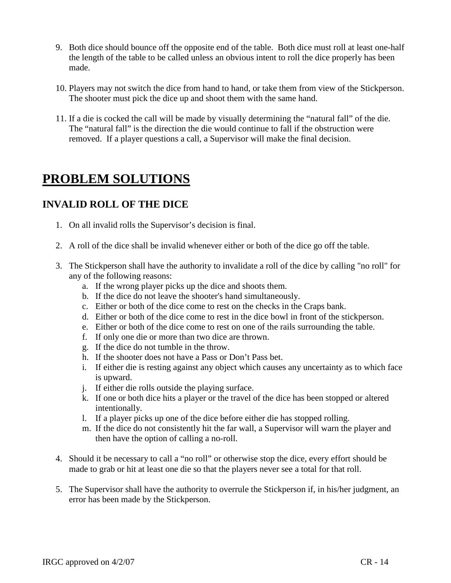- 9. Both dice should bounce off the opposite end of the table. Both dice must roll at least one-half the length of the table to be called unless an obvious intent to roll the dice properly has been made.
- 10. Players may not switch the dice from hand to hand, or take them from view of the Stickperson. The shooter must pick the dice up and shoot them with the same hand.
- 11. If a die is cocked the call will be made by visually determining the "natural fall" of the die. The "natural fall" is the direction the die would continue to fall if the obstruction were removed. If a player questions a call, a Supervisor will make the final decision.

## **PROBLEM SOLUTIONS**

### **INVALID ROLL OF THE DICE**

- 1. On all invalid rolls the Supervisor's decision is final.
- 2. A roll of the dice shall be invalid whenever either or both of the dice go off the table.
- 3. The Stickperson shall have the authority to invalidate a roll of the dice by calling "no roll" for any of the following reasons:
	- a. If the wrong player picks up the dice and shoots them.
	- b. If the dice do not leave the shooter's hand simultaneously.
	- c. Either or both of the dice come to rest on the checks in the Craps bank.
	- d. Either or both of the dice come to rest in the dice bowl in front of the stickperson.
	- e. Either or both of the dice come to rest on one of the rails surrounding the table.
	- f. If only one die or more than two dice are thrown.
	- g. If the dice do not tumble in the throw.
	- h. If the shooter does not have a Pass or Don't Pass bet.
	- i. If either die is resting against any object which causes any uncertainty as to which face is upward.
	- j. If either die rolls outside the playing surface.
	- k. If one or both dice hits a player or the travel of the dice has been stopped or altered intentionally.
	- l. If a player picks up one of the dice before either die has stopped rolling.
	- m. If the dice do not consistently hit the far wall, a Supervisor will warn the player and then have the option of calling a no-roll.
- 4. Should it be necessary to call a "no roll" or otherwise stop the dice, every effort should be made to grab or hit at least one die so that the players never see a total for that roll.
- 5. The Supervisor shall have the authority to overrule the Stickperson if, in his/her judgment, an error has been made by the Stickperson.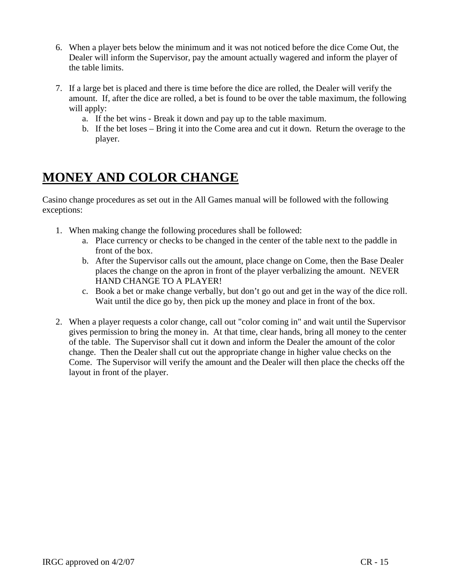- 6. When a player bets below the minimum and it was not noticed before the dice Come Out, the Dealer will inform the Supervisor, pay the amount actually wagered and inform the player of the table limits.
- 7. If a large bet is placed and there is time before the dice are rolled, the Dealer will verify the amount. If, after the dice are rolled, a bet is found to be over the table maximum, the following will apply:
	- a. If the bet wins Break it down and pay up to the table maximum.
	- b. If the bet loses Bring it into the Come area and cut it down. Return the overage to the player.

## **MONEY AND COLOR CHANGE**

Casino change procedures as set out in the All Games manual will be followed with the following exceptions:

- 1. When making change the following procedures shall be followed:
	- a. Place currency or checks to be changed in the center of the table next to the paddle in front of the box.
	- b. After the Supervisor calls out the amount, place change on Come, then the Base Dealer places the change on the apron in front of the player verbalizing the amount. NEVER HAND CHANGE TO A PLAYER!
	- c. Book a bet or make change verbally, but don't go out and get in the way of the dice roll. Wait until the dice go by, then pick up the money and place in front of the box.
- 2. When a player requests a color change, call out "color coming in" and wait until the Supervisor gives permission to bring the money in. At that time, clear hands, bring all money to the center of the table. The Supervisor shall cut it down and inform the Dealer the amount of the color change. Then the Dealer shall cut out the appropriate change in higher value checks on the Come. The Supervisor will verify the amount and the Dealer will then place the checks off the layout in front of the player.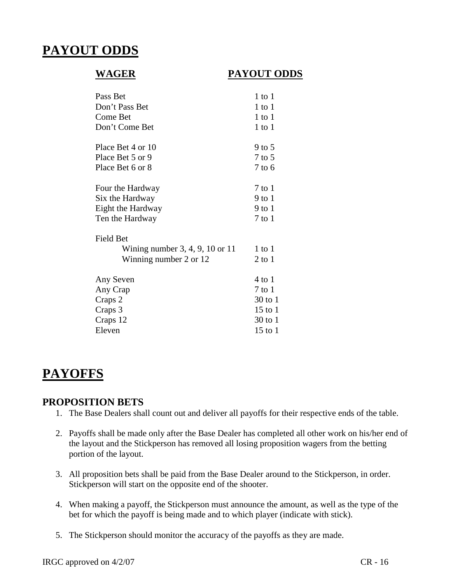## **PAYOUT ODDS**

#### **WAGER PAYOUT ODDS**

| Pass Bet                            | $1$ to $1$  |
|-------------------------------------|-------------|
| Don't Pass Bet                      | $1$ to $1$  |
| Come Bet                            | $1$ to $1$  |
| Don't Come Bet                      | $1$ to $1$  |
| Place Bet 4 or 10                   | 9 to 5      |
| Place Bet 5 or 9                    | 7 to 5      |
| Place Bet 6 or 8                    | $7$ to $6$  |
| Four the Hardway                    | 7 to 1      |
| Six the Hardway                     | 9 to 1      |
| Eight the Hardway                   | 9 to 1      |
| Ten the Hardway                     | $7$ to $1$  |
| <b>Field Bet</b>                    |             |
| Wining number $3, 4, 9, 10$ or $11$ | 1 to 1      |
| Winning number 2 or 12              | $2$ to $1$  |
| Any Seven                           | 4 to 1      |
| Any Crap                            | 7 to 1      |
| Craps 2                             | 30 to 1     |
| Craps 3                             | $15$ to $1$ |
| Craps 12                            | 30 to 1     |
| Eleven                              | $15$ to $1$ |

## **PAYOFFS**

#### **PROPOSITION BETS**

- 1. The Base Dealers shall count out and deliver all payoffs for their respective ends of the table.
- 2. Payoffs shall be made only after the Base Dealer has completed all other work on his/her end of the layout and the Stickperson has removed all losing proposition wagers from the betting portion of the layout.
- 3. All proposition bets shall be paid from the Base Dealer around to the Stickperson, in order. Stickperson will start on the opposite end of the shooter.
- 4. When making a payoff, the Stickperson must announce the amount, as well as the type of the bet for which the payoff is being made and to which player (indicate with stick).
- 5. The Stickperson should monitor the accuracy of the payoffs as they are made.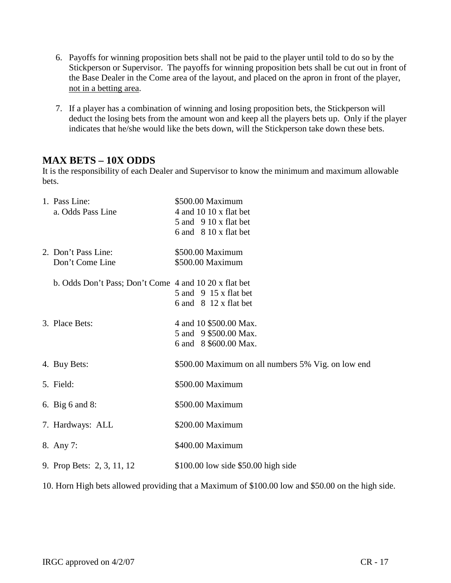- 6. Payoffs for winning proposition bets shall not be paid to the player until told to do so by the Stickperson or Supervisor. The payoffs for winning proposition bets shall be cut out in front of the Base Dealer in the Come area of the layout, and placed on the apron in front of the player, not in a betting area.
- 7. If a player has a combination of winning and losing proposition bets, the Stickperson will deduct the losing bets from the amount won and keep all the players bets up. Only if the player indicates that he/she would like the bets down, will the Stickperson take down these bets.

#### **MAX BETS – 10X ODDS**

It is the responsibility of each Dealer and Supervisor to know the minimum and maximum allowable bets.

| 1. Pass Line:<br>a. Odds Pass Line                    | \$500.00 Maximum<br>4 and 10 10 x flat bet<br>5 and 9 10 x flat bet<br>6 and 8 10 x flat bet |
|-------------------------------------------------------|----------------------------------------------------------------------------------------------|
| 2. Don't Pass Line:<br>Don't Come Line                | \$500.00 Maximum<br>\$500.00 Maximum                                                         |
| b. Odds Don't Pass; Don't Come 4 and 10 20 x flat bet | 5 and 9 15 x flat bet<br>6 and 8 12 x flat bet                                               |
| 3. Place Bets:                                        | 4 and 10 \$500.00 Max.<br>5 and 9 \$500.00 Max.<br>6 and 8 \$600.00 Max.                     |
| 4. Buy Bets:                                          | \$500.00 Maximum on all numbers 5% Vig. on low end                                           |
| 5. Field:                                             | \$500.00 Maximum                                                                             |
| 6. Big 6 and 8:                                       | \$500.00 Maximum                                                                             |
| 7. Hardways: ALL                                      | \$200.00 Maximum                                                                             |
| 8. Any 7:                                             | \$400.00 Maximum                                                                             |
| 9. Prop Bets: 2, 3, 11, 12                            | \$100.00 low side \$50.00 high side                                                          |

10. Horn High bets allowed providing that a Maximum of \$100.00 low and \$50.00 on the high side.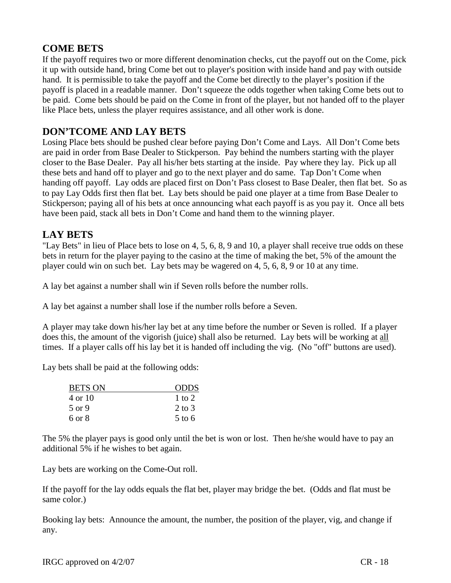#### **COME BETS**

If the payoff requires two or more different denomination checks, cut the payoff out on the Come, pick it up with outside hand, bring Come bet out to player's position with inside hand and pay with outside hand. It is permissible to take the payoff and the Come bet directly to the player's position if the payoff is placed in a readable manner. Don't squeeze the odds together when taking Come bets out to be paid. Come bets should be paid on the Come in front of the player, but not handed off to the player like Place bets, unless the player requires assistance, and all other work is done.

### **DON'TCOME AND LAY BETS**

Losing Place bets should be pushed clear before paying Don't Come and Lays. All Don't Come bets are paid in order from Base Dealer to Stickperson. Pay behind the numbers starting with the player closer to the Base Dealer. Pay all his/her bets starting at the inside. Pay where they lay. Pick up all these bets and hand off to player and go to the next player and do same. Tap Don't Come when handing off payoff. Lay odds are placed first on Don't Pass closest to Base Dealer, then flat bet. So as to pay Lay Odds first then flat bet. Lay bets should be paid one player at a time from Base Dealer to Stickperson; paying all of his bets at once announcing what each payoff is as you pay it. Once all bets have been paid, stack all bets in Don't Come and hand them to the winning player.

#### **LAY BETS**

"Lay Bets" in lieu of Place bets to lose on 4, 5, 6, 8, 9 and 10, a player shall receive true odds on these bets in return for the player paying to the casino at the time of making the bet, 5% of the amount the player could win on such bet. Lay bets may be wagered on 4, 5, 6, 8, 9 or 10 at any time.

A lay bet against a number shall win if Seven rolls before the number rolls.

A lay bet against a number shall lose if the number rolls before a Seven.

A player may take down his/her lay bet at any time before the number or Seven is rolled. If a player does this, the amount of the vigorish (juice) shall also be returned. Lay bets will be working at all times. If a player calls off his lay bet it is handed off including the vig. (No "off" buttons are used).

Lay bets shall be paid at the following odds:

| <b>ODDS</b> |
|-------------|
| 1 to 2      |
| $2$ to $3$  |
| $5$ to 6    |
|             |

The 5% the player pays is good only until the bet is won or lost. Then he/she would have to pay an additional 5% if he wishes to bet again.

Lay bets are working on the Come-Out roll.

If the payoff for the lay odds equals the flat bet, player may bridge the bet. (Odds and flat must be same color.)

Booking lay bets: Announce the amount, the number, the position of the player, vig, and change if any.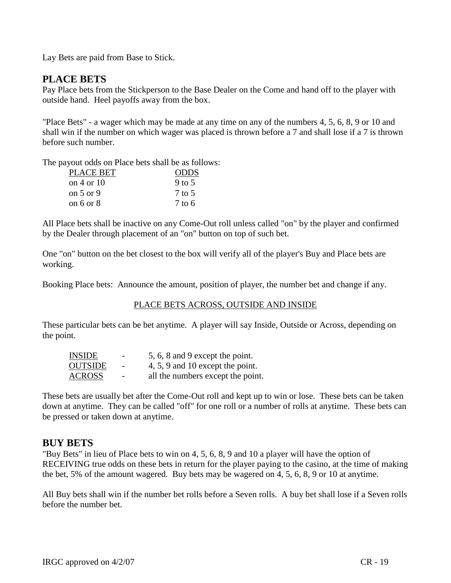Lay Bets are paid from Base to Stick.

#### **PLACE BETS**

Pay Place bets from the Stickperson to the Base Dealer on the Come and hand off to the player with outside hand. Heel payoffs away from the box.

"Place Bets" - a wager which may be made at any time on any of the numbers 4, 5, 6, 8, 9 or 10 and shall win if the number on which wager was placed is thrown before a 7 and shall lose if a 7 is thrown before such number.

The payout odds on Place bets shall be as follows:

| PLACE BET      | <b>ODDS</b> |
|----------------|-------------|
| on $4$ or $10$ | 9 to 5      |
| on $5$ or $9$  | 7 to 5      |
| on 6 or $8$    | 7 to 6      |

All Place bets shall be inactive on any Come-Out roll unless called "on" by the player and confirmed by the Dealer through placement of an "on" button on top of such bet.

One "on" button on the bet closest to the box will verify all of the player's Buy and Place bets are working.

Booking Place bets: Announce the amount, position of player, the number bet and change if any.

#### PLACE BETS ACROSS, OUTSIDE AND INSIDE

These particular bets can be bet anytime. A player will say Inside, Outside or Across, depending on the point.

| INSIDE        | $\overline{\phantom{a}}$ | 5, 6, 8 and 9 except the point.   |
|---------------|--------------------------|-----------------------------------|
| OUTSIDE       | $\overline{\phantom{a}}$ | 4, 5, 9 and 10 except the point.  |
| <b>ACROSS</b> | $\overline{\phantom{a}}$ | all the numbers except the point. |

These bets are usually bet after the Come-Out roll and kept up to win or lose. These bets can be taken down at anytime. They can be called "off" for one roll or a number of rolls at anytime. These bets can be pressed or taken down at anytime.

#### **BUY BETS**

"Buy Bets" in lieu of Place bets to win on 4, 5, 6, 8, 9 and 10 a player will have the option of RECEIVING true odds on these bets in return for the player paying to the casino, at the time of making the bet, 5% of the amount wagered. Buy bets may be wagered on 4, 5, 6, 8, 9 or 10 at anytime.

All Buy bets shall win if the number bet rolls before a Seven rolls. A buy bet shall lose if a Seven rolls before the number bet.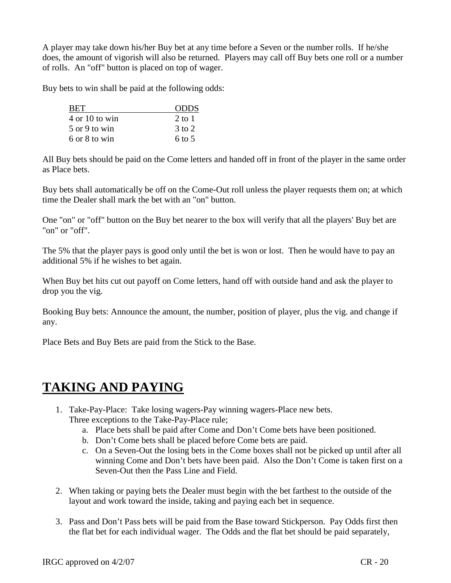A player may take down his/her Buy bet at any time before a Seven or the number rolls. If he/she does, the amount of vigorish will also be returned. Players may call off Buy bets one roll or a number of rolls. An "off" button is placed on top of wager.

Buy bets to win shall be paid at the following odds:

| <b>BET</b>                        | <b>ODDS</b>       |
|-----------------------------------|-------------------|
| $4 \text{ or } 10 \text{ to win}$ | $2$ to 1          |
| 5 or 9 to win                     | $3$ to $2$        |
| 6 or 8 to win                     | $6 \text{ to } 5$ |

All Buy bets should be paid on the Come letters and handed off in front of the player in the same order as Place bets.

Buy bets shall automatically be off on the Come-Out roll unless the player requests them on; at which time the Dealer shall mark the bet with an "on" button.

One "on" or "off" button on the Buy bet nearer to the box will verify that all the players' Buy bet are "on" or "off".

The 5% that the player pays is good only until the bet is won or lost. Then he would have to pay an additional 5% if he wishes to bet again.

When Buy bet hits cut out payoff on Come letters, hand off with outside hand and ask the player to drop you the vig.

Booking Buy bets: Announce the amount, the number, position of player, plus the vig. and change if any.

Place Bets and Buy Bets are paid from the Stick to the Base.

## **TAKING AND PAYING**

- 1. Take-Pay-Place: Take losing wagers-Pay winning wagers-Place new bets. Three exceptions to the Take-Pay-Place rule;
	- a. Place bets shall be paid after Come and Don't Come bets have been positioned.
	- b. Don't Come bets shall be placed before Come bets are paid.
	- c. On a Seven-Out the losing bets in the Come boxes shall not be picked up until after all winning Come and Don't bets have been paid. Also the Don't Come is taken first on a Seven-Out then the Pass Line and Field.
- 2. When taking or paying bets the Dealer must begin with the bet farthest to the outside of the layout and work toward the inside, taking and paying each bet in sequence.
- 3. Pass and Don't Pass bets will be paid from the Base toward Stickperson. Pay Odds first then the flat bet for each individual wager. The Odds and the flat bet should be paid separately,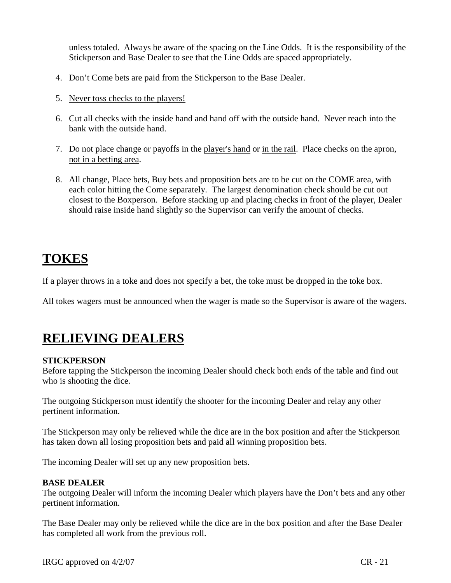unless totaled. Always be aware of the spacing on the Line Odds. It is the responsibility of the Stickperson and Base Dealer to see that the Line Odds are spaced appropriately.

- 4. Don't Come bets are paid from the Stickperson to the Base Dealer.
- 5. Never toss checks to the players!
- 6. Cut all checks with the inside hand and hand off with the outside hand. Never reach into the bank with the outside hand.
- 7. Do not place change or payoffs in the player's hand or in the rail. Place checks on the apron, not in a betting area.
- 8. All change, Place bets, Buy bets and proposition bets are to be cut on the COME area, with each color hitting the Come separately. The largest denomination check should be cut out closest to the Boxperson. Before stacking up and placing checks in front of the player, Dealer should raise inside hand slightly so the Supervisor can verify the amount of checks.

## **TOKES**

If a player throws in a toke and does not specify a bet, the toke must be dropped in the toke box.

All tokes wagers must be announced when the wager is made so the Supervisor is aware of the wagers.

## **RELIEVING DEALERS**

#### **STICKPERSON**

Before tapping the Stickperson the incoming Dealer should check both ends of the table and find out who is shooting the dice.

The outgoing Stickperson must identify the shooter for the incoming Dealer and relay any other pertinent information.

The Stickperson may only be relieved while the dice are in the box position and after the Stickperson has taken down all losing proposition bets and paid all winning proposition bets.

The incoming Dealer will set up any new proposition bets.

#### **BASE DEALER**

The outgoing Dealer will inform the incoming Dealer which players have the Don't bets and any other pertinent information.

The Base Dealer may only be relieved while the dice are in the box position and after the Base Dealer has completed all work from the previous roll.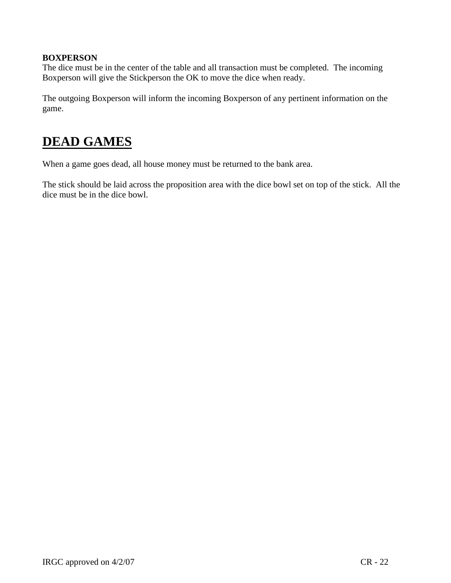#### **BOXPERSON**

The dice must be in the center of the table and all transaction must be completed. The incoming Boxperson will give the Stickperson the OK to move the dice when ready.

The outgoing Boxperson will inform the incoming Boxperson of any pertinent information on the game.

## **DEAD GAMES**

When a game goes dead, all house money must be returned to the bank area.

The stick should be laid across the proposition area with the dice bowl set on top of the stick. All the dice must be in the dice bowl.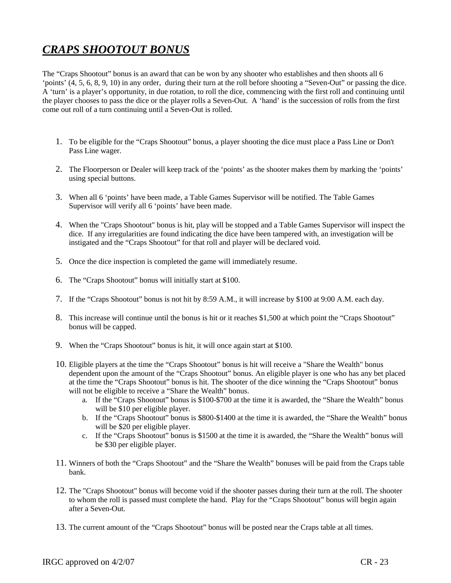## *CRAPS SHOOTOUT BONUS*

The "Craps Shootout" bonus is an award that can be won by any shooter who establishes and then shoots all 6 'points' (4, 5, 6, 8, 9, 10) in any order, during their turn at the roll before shooting a "Seven-Out" or passing the dice. A 'turn' is a player's opportunity, in due rotation, to roll the dice, commencing with the first roll and continuing until the player chooses to pass the dice or the player rolls a Seven-Out. A 'hand' is the succession of rolls from the first come out roll of a turn continuing until a Seven-Out is rolled.

- 1. To be eligible for the "Craps Shootout" bonus, a player shooting the dice must place a Pass Line or Don't Pass Line wager.
- 2. The Floorperson or Dealer will keep track of the 'points' as the shooter makes them by marking the 'points' using special buttons.
- 3. When all 6 'points' have been made, a Table Games Supervisor will be notified. The Table Games Supervisor will verify all 6 'points' have been made.
- 4. When the "Craps Shootout" bonus is hit, play will be stopped and a Table Games Supervisor will inspect the dice. If any irregularities are found indicating the dice have been tampered with, an investigation will be instigated and the "Craps Shootout" for that roll and player will be declared void.
- 5. Once the dice inspection is completed the game will immediately resume.
- 6. The "Craps Shootout" bonus will initially start at \$100.
- 7. If the "Craps Shootout" bonus is not hit by 8:59 A.M., it will increase by \$100 at 9:00 A.M. each day.
- 8. This increase will continue until the bonus is hit or it reaches \$1,500 at which point the "Craps Shootout" bonus will be capped.
- 9. When the "Craps Shootout" bonus is hit, it will once again start at \$100.
- 10. Eligible players at the time the "Craps Shootout" bonus is hit will receive a "Share the Wealth" bonus dependent upon the amount of the "Craps Shootout" bonus. An eligible player is one who has any bet placed at the time the "Craps Shootout" bonus is hit. The shooter of the dice winning the "Craps Shootout" bonus will not be eligible to receive a "Share the Wealth" bonus.
	- a. If the "Craps Shootout" bonus is \$100-\$700 at the time it is awarded, the "Share the Wealth" bonus will be \$10 per eligible player.
	- b. If the "Craps Shootout" bonus is \$800-\$1400 at the time it is awarded, the "Share the Wealth" bonus will be \$20 per eligible player.
	- c. If the "Craps Shootout" bonus is \$1500 at the time it is awarded, the "Share the Wealth" bonus will be \$30 per eligible player.
- 11. Winners of both the "Craps Shootout" and the "Share the Wealth" bonuses will be paid from the Craps table bank.
- 12. The "Craps Shootout" bonus will become void if the shooter passes during their turn at the roll. The shooter to whom the roll is passed must complete the hand. Play for the "Craps Shootout" bonus will begin again after a Seven-Out.
- 13. The current amount of the "Craps Shootout" bonus will be posted near the Craps table at all times.